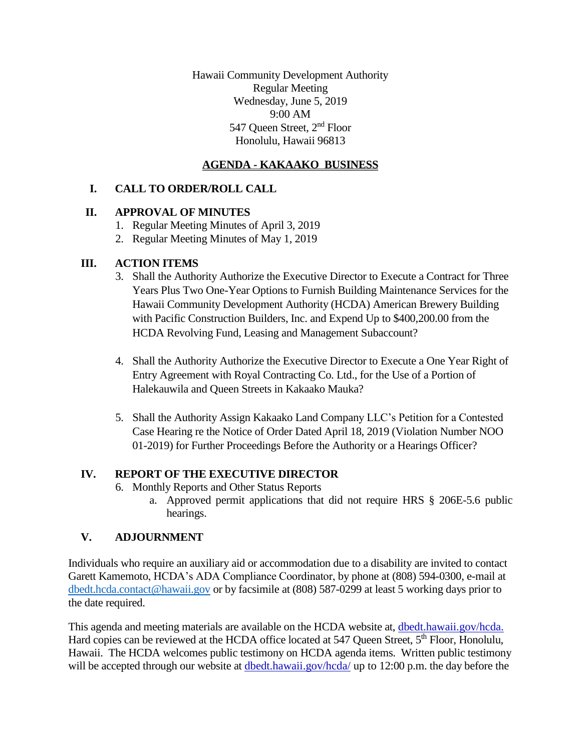Hawaii Community Development Authority Regular Meeting Wednesday, June 5, 2019 9:00 AM 547 Oueen Street, 2<sup>nd</sup> Floor Honolulu, Hawaii 96813

# **AGENDA - KAKAAKO BUSINESS**

## **I. CALL TO ORDER/ROLL CALL**

### **II. APPROVAL OF MINUTES**

- 1. Regular Meeting Minutes of April 3, 2019
- 2. Regular Meeting Minutes of May 1, 2019

### **III. ACTION ITEMS**

- 3. Shall the Authority Authorize the Executive Director to Execute a Contract for Three Years Plus Two One-Year Options to Furnish Building Maintenance Services for the Hawaii Community Development Authority (HCDA) American Brewery Building with Pacific Construction Builders, Inc. and Expend Up to \$400,200.00 from the HCDA Revolving Fund, Leasing and Management Subaccount?
- 4. Shall the Authority Authorize the Executive Director to Execute a One Year Right of Entry Agreement with Royal Contracting Co. Ltd., for the Use of a Portion of Halekauwila and Queen Streets in Kakaako Mauka?
- 5. Shall the Authority Assign Kakaako Land Company LLC's Petition for a Contested Case Hearing re the Notice of Order Dated April 18, 2019 (Violation Number NOO 01-2019) for Further Proceedings Before the Authority or a Hearings Officer?

### **IV. REPORT OF THE EXECUTIVE DIRECTOR**

- 6. Monthly Reports and Other Status Reports
	- a. Approved permit applications that did not require HRS § 206E-5.6 public hearings.

### **V. ADJOURNMENT**

Individuals who require an auxiliary aid or accommodation due to a disability are invited to contact Garett Kamemoto, HCDA's ADA Compliance Coordinator, by phone at (808) 594-0300, e-mail at [dbedt.hcda.contact@hawaii.gov](mailto:dbedt.hcda.contact@hawaii.gov) or by facsimile at (808) 587-0299 at least 5 working days prior to the date required.

This agenda and meeting materials are available on the HCDA website at, dbedt.hawaii.gov/hcda. Hard copies can be reviewed at the HCDA office located at 547 Queen Street, 5<sup>th</sup> Floor, Honolulu, Hawaii. The HCDA welcomes public testimony on HCDA agenda items. Written public testimony will be accepted through our website at dbedt.hawaii.gov/hcda/ up to 12:00 p.m. the day before the